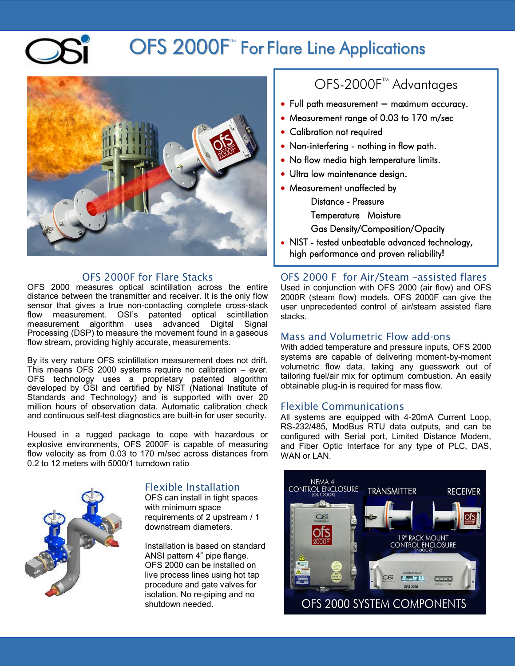# OFS 2000F<sup>\*</sup> For Flare Line Applications



## OFS 2000F for Flare Stacks

OFS 2000 measures optical scintillation across the entire distance between the transmitter and receiver. It is the only flow sensor that gives a true non-contacting complete cross-stack flow measurement. OSI's patented optical scintillation measurement algorithm uses advanced Digital Signal Processing (DSP) to measure the movement found in a gaseous flow stream, providing highly accurate, measurements.

By its very nature OFS scintillation measurement does not drift. This means OFS 2000 systems require no calibration – ever. OFS technology uses a proprietary patented algorithm developed by OSI and certified by NIST (National Institute of Standards and Technology) and is supported with over 20 million hours of observation data. Automatic calibration check and continuous self-test diagnostics are built-in for user security.

Housed in a rugged package to cope with hazardous or explosive environments, OFS 2000F is capable of measuring flow velocity as from 0.03 to 170 m/sec across distances from 0.2 to 12 meters with 5000/1 turndown ratio



## Flexible Installation

OFS can install in tight spaces with minimum space requirements of 2 upstream / 1 downstream diameters.

Installation is based on standard ANSI pattern 4" pipe flange. OFS 2000 can be installed on live process lines using hot tap procedure and gate valves for isolation. No re-piping and no shutdown needed.

## OFS-2000F<sup>™</sup> Advantages

- $\bullet$  Full path measurement = maximum accuracy.
- Measurement range of 0.03 to 170 m/sec
- Calibration not required
- Non-interfering nothing in flow path.
- No flow media high temperature limits.
- Ultra low maintenance design.

• Measurement unaffected by Distance - Pressure

Temperature Moisture

Gas Density/Composition/Opacity

NIST - tested unbeatable advanced technology, high performance and proven reliability**!**

OFS 2000 F for Air/Steam –assisted flares Used in conjunction with OFS 2000 (air flow) and OFS 2000R (steam flow) models. OFS 2000F can give the user unprecedented control of air/steam assisted flare stacks.

#### Mass and Volumetric Flow add-ons

With added temperature and pressure inputs, OFS 2000 systems are capable of delivering moment-by-moment volumetric flow data, taking any guesswork out of tailoring fuel/air mix for optimum combustion. An easily obtainable plug-in is required for mass flow.

### Flexible Communications

All systems are equipped with 4-20mA Current Loop, RS-232/485, ModBus RTU data outputs, and can be configured with Serial port, Limited Distance Modem, and Fiber Optic Interface for any type of PLC, DAS, WAN or LAN.